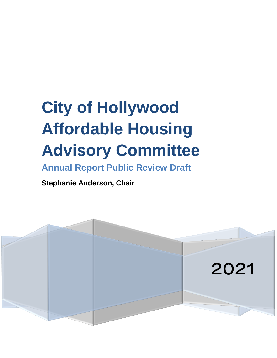# **City of Hollywood Affordable Housing Advisory Committee**

**Annual Report Public Review Draft**

**Stephanie Anderson, Chair**

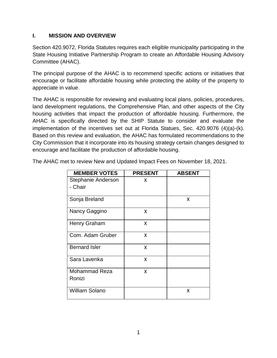## **I. MISSION AND OVERVIEW**

Section 420.9072, Florida Statutes requires each eligible municipality participating in the State Housing Initiative Partnership Program to create an Affordable Housing Advisory Committee (AHAC).

The principal purpose of the AHAC is to recommend specific actions or initiatives that encourage or facilitate affordable housing while protecting the ability of the property to appreciate in value.

The AHAC is responsible for reviewing and evaluating local plans, policies, procedures, land development regulations, the Comprehensive Plan, and other aspects of the City housing activities that impact the production of affordable housing. Furthermore, the AHAC is specifically directed by the SHIP Statute to consider and evaluate the implementation of the incentives set out at Florida Statues, Sec. 420.9076 (4)(a)-(k). Based on this review and evaluation, the AHAC has formulated recommendations to the City Commission that it incorporate into its housing strategy certain changes designed to encourage and facilitate the production of affordable housing.

| <b>MEMBER VOTES</b>   | <b>PRESENT</b> | <b>ABSENT</b> |
|-----------------------|----------------|---------------|
| Stephanie Anderson    | X              |               |
| - Chair               |                |               |
| Sonja Breland         |                | X             |
| Nancy Gaggino         | X              |               |
| Henry Graham          | X              |               |
| Com. Adam Gruber      | X              |               |
| <b>Bernard Isler</b>  | X              |               |
| Sara Lavenka          | X              |               |
| <b>Mohammad Reza</b>  | X              |               |
| Ronizi                |                |               |
| <b>William Solano</b> |                | x             |

The AHAC met to review New and Updated Impact Fees on November 18, 2021.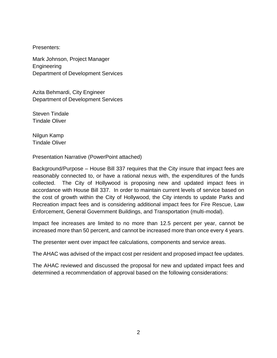Presenters:

Mark Johnson, Project Manager Engineering Department of Development Services

Azita Behmardi, City Engineer Department of Development Services

Steven Tindale Tindale Oliver

Nilgun Kamp Tindale Oliver

Presentation Narrative (PowerPoint attached)

Background/Purpose – House Bill 337 requires that the City insure that impact fees are reasonably connected to, or have a rational nexus with, the expenditures of the funds collected. The City of Hollywood is proposing new and updated impact fees in accordance with House Bill 337. In order to maintain current levels of service based on the cost of growth within the City of Hollywood, the City intends to update Parks and Recreation impact fees and is considering additional impact fees for Fire Rescue, Law Enforcement, General Government Buildings, and Transportation (multi-modal).

Impact fee increases are limited to no more than 12.5 percent per year, cannot be increased more than 50 percent, and cannot be increased more than once every 4 years.

The presenter went over impact fee calculations, components and service areas.

The AHAC was advised of the impact cost per resident and proposed impact fee updates.

The AHAC reviewed and discussed the proposal for new and updated impact fees and determined a recommendation of approval based on the following considerations: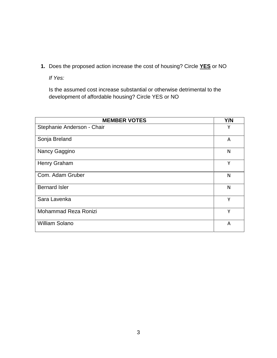**1.** Does the proposed action increase the cost of housing? Circle **YES** or NO

*If Yes:*

Is the assumed cost increase substantial or otherwise detrimental to the development of affordable housing? Circle YES or NO

| <b>MEMBER VOTES</b>        | Y/N |
|----------------------------|-----|
| Stephanie Anderson - Chair | Υ   |
| Sonja Breland              | A   |
| Nancy Gaggino              | N   |
| Henry Graham               | Υ   |
| Com. Adam Gruber           | N   |
| <b>Bernard Isler</b>       | N   |
| Sara Lavenka               | Y   |
| Mohammad Reza Ronizi       | Υ   |
| <b>William Solano</b>      | A   |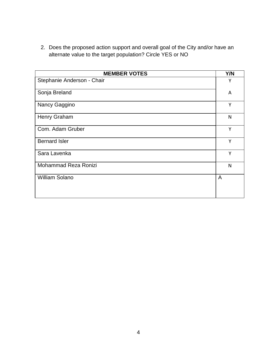2. Does the proposed action support and overall goal of the City and/or have an alternate value to the target population? Circle YES or NO

| <b>MEMBER VOTES</b>        | Y/N |
|----------------------------|-----|
| Stephanie Anderson - Chair | Y   |
| Sonja Breland              | A   |
| Nancy Gaggino              | Y   |
| Henry Graham               | N   |
| Com. Adam Gruber           | Y   |
| <b>Bernard Isler</b>       | Y   |
| Sara Lavenka               | Y   |
| Mohammad Reza Ronizi       | N   |
| <b>William Solano</b>      | A   |
|                            |     |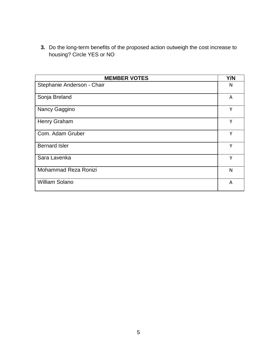**3.** Do the long-term benefits of the proposed action outweigh the cost increase to housing? Circle YES or NO

| <b>MEMBER VOTES</b>        | Y/N |
|----------------------------|-----|
| Stephanie Anderson - Chair | N   |
| Sonja Breland              | A   |
| Nancy Gaggino              | Y   |
| Henry Graham               | γ   |
| Com. Adam Gruber           | Υ   |
| <b>Bernard Isler</b>       | Υ   |
| Sara Lavenka               | Y   |
| Mohammad Reza Ronizi       | N   |
| <b>William Solano</b>      | A   |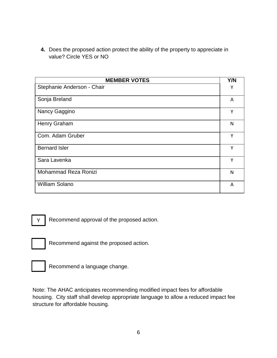**4.** Does the proposed action protect the ability of the property to appreciate in value? Circle YES or NO

| <b>MEMBER VOTES</b>        | Y/N |
|----------------------------|-----|
| Stephanie Anderson - Chair | Υ   |
| Sonja Breland              | A   |
| Nancy Gaggino              | Y   |
| Henry Graham               | N   |
| Com. Adam Gruber           | Y   |
| <b>Bernard Isler</b>       | Y   |
| Sara Lavenka               | Υ   |
| Mohammad Reza Ronizi       | N   |
| <b>William Solano</b>      | A   |

Recommend approval of the proposed action. Y |

X

Recommend against the proposed action.



Recommend a language change.

Note: The AHAC anticipates recommending modified impact fees for affordable housing. City staff shall develop appropriate language to allow a reduced impact fee structure for affordable housing.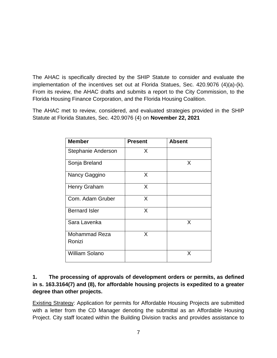The AHAC is specifically directed by the SHIP Statute to consider and evaluate the implementation of the incentives set out at Florida Statues, Sec. 420.9076 (4)(a)-(k). From its review, the AHAC drafts and submits a report to the City Commission, to the Florida Housing Finance Corporation, and the Florida Housing Coalition.

The AHAC met to review, considered, and evaluated strategies provided in the SHIP Statute at Florida Statutes, Sec. 420.9076 (4) on **November 22, 2021**

| <b>Member</b>         | <b>Present</b> | <b>Absent</b> |
|-----------------------|----------------|---------------|
| Stephanie Anderson    | X              |               |
| Sonja Breland         |                | X             |
| Nancy Gaggino         | X              |               |
| Henry Graham          | X              |               |
| Com. Adam Gruber      | X              |               |
| <b>Bernard Isler</b>  | X              |               |
| Sara Lavenka          |                | X             |
| <b>Mohammad Reza</b>  | X              |               |
| Ronizi                |                |               |
| <b>William Solano</b> |                | X             |

# **1. The processing of approvals of development orders or permits, as defined in s. 163.3164(7) and (8), for affordable housing projects is expedited to a greater degree than other projects.**

**Existing Strategy: Application for permits for Affordable Housing Projects are submitted** with a letter from the CD Manager denoting the submittal as an Affordable Housing Project. City staff located within the Building Division tracks and provides assistance to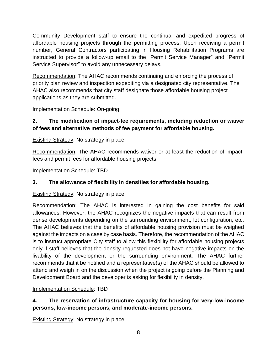Community Development staff to ensure the continual and expedited progress of affordable housing projects through the permitting process. Upon receiving a permit number, General Contractors participating in Housing Rehabilitation Programs are instructed to provide a follow-up email to the "Permit Service Manager" and "Permit Service Supervisor" to avoid any unnecessary delays.

Recommendation: The AHAC recommends continuing and enforcing the process of priority plan review and inspection expediting via a designated city representative. The AHAC also recommends that city staff designate those affordable housing project applications as they are submitted.

## Implementation Schedule: On-going

# **2. The modification of impact-fee requirements, including reduction or waiver of fees and alternative methods of fee payment for affordable housing.**

Existing Strategy: No strategy in place.

Recommendation: The AHAC recommends waiver or at least the reduction of impactfees and permit fees for affordable housing projects.

Implementation Schedule: TBD

#### **3. The allowance of flexibility in densities for affordable housing.**

Existing Strategy: No strategy in place.

Recommendation: The AHAC is interested in gaining the cost benefits for said allowances. However, the AHAC recognizes the negative impacts that can result from dense developments depending on the surrounding environment, lot configuration, etc. The AHAC believes that the benefits of affordable housing provision must be weighed against the impacts on a case by case basis. Therefore, the recommendation of the AHAC is to instruct appropriate City staff to allow this flexibility for affordable housing projects only if staff believes that the density requested does not have negative impacts on the livability of the development or the surrounding environment. The AHAC further recommends that it be notified and a representative(s) of the AHAC should be allowed to attend and weigh in on the discussion when the project is going before the Planning and Development Board and the developer is asking for flexibility in density.

#### Implementation Schedule: TBD

# **4. The reservation of infrastructure capacity for housing for very-low-income persons, low-income persons, and moderate-income persons.**

Existing Strategy: No strategy in place.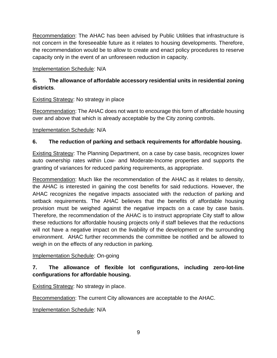Recommendation: The AHAC has been advised by Public Utilities that infrastructure is not concern in the foreseeable future as it relates to housing developments. Therefore, the recommendation would be to allow to create and enact policy procedures to reserve capacity only in the event of an unforeseen reduction in capacity.

# Implementation Schedule: N/A

# **5. The allowance of affordable accessory residential units in residential zoning districts**.

Existing Strategy: No strategy in place

Recommendation: The AHAC does not want to encourage this form of affordable housing over and above that which is already acceptable by the City zoning controls.

Implementation Schedule: N/A

## **6. The reduction of parking and setback requirements for affordable housing.**

**Existing Strategy: The Planning Department, on a case by case basis, recognizes lower** auto ownership rates within Low- and Moderate-Income properties and supports the granting of variances for reduced parking requirements, as appropriate.

Recommendation: Much like the recommendation of the AHAC as it relates to density, the AHAC is interested in gaining the cost benefits for said reductions. However, the AHAC recognizes the negative impacts associated with the reduction of parking and setback requirements. The AHAC believes that the benefits of affordable housing provision must be weighed against the negative impacts on a case by case basis. Therefore, the recommendation of the AHAC is to instruct appropriate City staff to allow these reductions for affordable housing projects only if staff believes that the reductions will not have a negative impact on the livability of the development or the surrounding environment. AHAC further recommends the committee be notified and be allowed to weigh in on the effects of any reduction in parking.

#### Implementation Schedule: On-going

# **7. The allowance of flexible lot configurations, including zero-lot-line configurations for affordable housing.**

Existing Strategy: No strategy in place.

Recommendation: The current City allowances are acceptable to the AHAC.

Implementation Schedule: N/A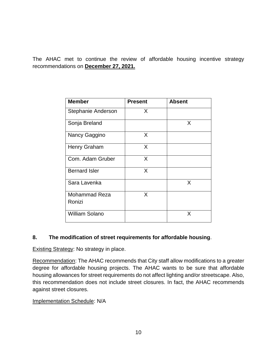The AHAC met to continue the review of affordable housing incentive strategy recommendations on **December 27, 2021.**

| <b>Member</b>                  | <b>Present</b> | <b>Absent</b> |
|--------------------------------|----------------|---------------|
| Stephanie Anderson             | X              |               |
| Sonja Breland                  |                | X             |
| Nancy Gaggino                  | X              |               |
| <b>Henry Graham</b>            | X              |               |
| Com. Adam Gruber               | X              |               |
| <b>Bernard Isler</b>           | X              |               |
| Sara Lavenka                   |                | X             |
| <b>Mohammad Reza</b><br>Ronizi | X              |               |
| <b>William Solano</b>          |                | X             |

# **8. The modification of street requirements for affordable housing**.

**Existing Strategy: No strategy in place.** 

Recommendation: The AHAC recommends that City staff allow modifications to a greater degree for affordable housing projects. The AHAC wants to be sure that affordable housing allowances for street requirements do not affect lighting and/or streetscape. Also, this recommendation does not include street closures. In fact, the AHAC recommends against street closures.

#### Implementation Schedule: N/A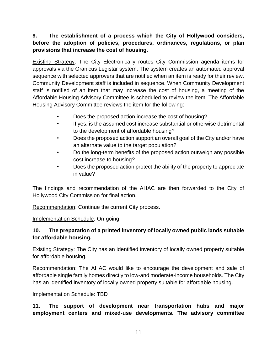# **9. The establishment of a process which the City of Hollywood considers, before the adoption of policies, procedures, ordinances, regulations, or plan provisions that increase the cost of housing.**

Existing Strategy: The City Electronically routes City Commission agenda items for approvals via the Granicus Legistar system. The system creates an automated approval sequence with selected approvers that are notified when an item is ready for their review. Community Development staff is included in sequence. When Community Development staff is notified of an item that may increase the cost of housing, a meeting of the Affordable Housing Advisory Committee is scheduled to review the item. The Affordable Housing Advisory Committee reviews the item for the following:

- Does the proposed action increase the cost of housing?
- If yes, is the assumed cost increase substantial or otherwise detrimental to the development of affordable housing?
- Does the proposed action support an overall goal of the City and/or have an alternate value to the target population?
- Do the long-term benefits of the proposed action outweigh any possible cost increase to housing?
- Does the proposed action protect the ability of the property to appreciate in value?

The findings and recommendation of the AHAC are then forwarded to the City of Hollywood City Commission for final action.

Recommendation: Continue the current City process.

Implementation Schedule: On-going

# **10. The preparation of a printed inventory of locally owned public lands suitable for affordable housing.**

Existing Strategy: The City has an identified inventory of locally owned property suitable for affordable housing.

Recommendation: The AHAC would like to encourage the development and sale of affordable single family homes directly to low-and moderate-income households. The City has an identified inventory of locally owned property suitable for affordable housing.

#### Implementation Schedule: TBD

**11. The support of development near transportation hubs and major employment centers and mixed-use developments. The advisory committee**